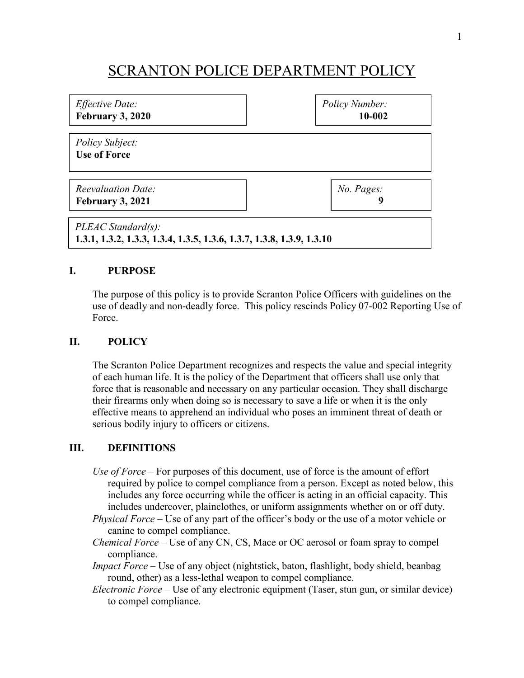# SCRANTON POLICE DEPARTMENT POLICY

| <i>Effective Date:</i><br>February 3, 2020                                                  | Policy Number:<br>10-002 |
|---------------------------------------------------------------------------------------------|--------------------------|
| <i>Policy Subject:</i><br><b>Use of Force</b>                                               |                          |
| <b>Reevaluation Date:</b><br>February 3, 2021                                               | No. Pages:<br>9          |
| PLEAC Standard(s):<br>1.3.1, 1.3.2, 1.3.3, 1.3.4, 1.3.5, 1.3.6, 1.3.7, 1.3.8, 1.3.9, 1.3.10 |                          |

### **I. PURPOSE**

The purpose of this policy is to provide Scranton Police Officers with guidelines on the use of deadly and non-deadly force. This policy rescinds Policy 07-002 Reporting Use of Force.

### **II. POLICY**

The Scranton Police Department recognizes and respects the value and special integrity of each human life. It is the policy of the Department that officers shall use only that force that is reasonable and necessary on any particular occasion. They shall discharge their firearms only when doing so is necessary to save a life or when it is the only effective means to apprehend an individual who poses an imminent threat of death or serious bodily injury to officers or citizens.

#### **III. DEFINITIONS**

- *Use of Force* For purposes of this document, use of force is the amount of effort required by police to compel compliance from a person. Except as noted below, this includes any force occurring while the officer is acting in an official capacity. This includes undercover, plainclothes, or uniform assignments whether on or off duty.
- *Physical Force* Use of any part of the officer's body or the use of a motor vehicle or canine to compel compliance.
- *Chemical Force* Use of any CN, CS, Mace or OC aerosol or foam spray to compel compliance.
- *Impact Force* Use of any object (nightstick, baton, flashlight, body shield, beanbag round, other) as a less-lethal weapon to compel compliance.
- *Electronic Force* Use of any electronic equipment (Taser, stun gun, or similar device) to compel compliance.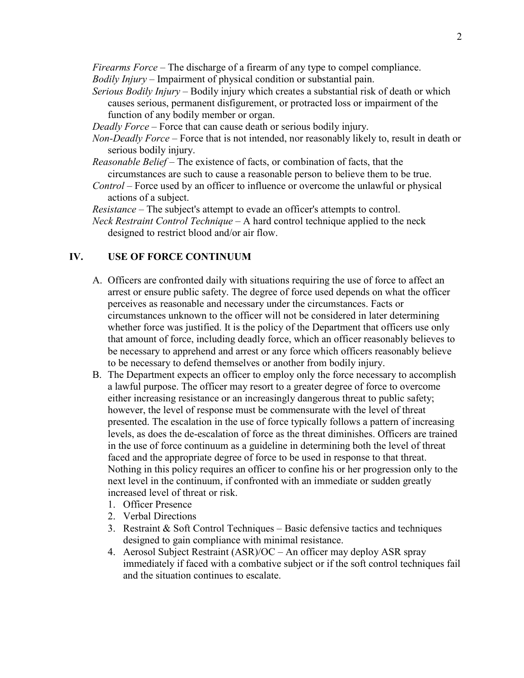*Firearms Force* – The discharge of a firearm of any type to compel compliance.

*Bodily Injury* – Impairment of physical condition or substantial pain.

- *Serious Bodily Injury* Bodily injury which creates a substantial risk of death or which causes serious, permanent disfigurement, or protracted loss or impairment of the function of any bodily member or organ.
- *Deadly Force* Force that can cause death or serious bodily injury.
- *Non-Deadly Force* Force that is not intended, nor reasonably likely to, result in death or serious bodily injury.
- *Reasonable Belief* The existence of facts, or combination of facts, that the circumstances are such to cause a reasonable person to believe them to be true.
- *Control* Force used by an officer to influence or overcome the unlawful or physical actions of a subject.

*Resistance* – The subject's attempt to evade an officer's attempts to control.

*Neck Restraint Control Technique –* A hard control technique applied to the neck designed to restrict blood and/or air flow.

## **IV. USE OF FORCE CONTINUUM**

- A. Officers are confronted daily with situations requiring the use of force to affect an arrest or ensure public safety. The degree of force used depends on what the officer perceives as reasonable and necessary under the circumstances. Facts or circumstances unknown to the officer will not be considered in later determining whether force was justified. It is the policy of the Department that officers use only that amount of force, including deadly force, which an officer reasonably believes to be necessary to apprehend and arrest or any force which officers reasonably believe to be necessary to defend themselves or another from bodily injury.
- B. The Department expects an officer to employ only the force necessary to accomplish a lawful purpose. The officer may resort to a greater degree of force to overcome either increasing resistance or an increasingly dangerous threat to public safety; however, the level of response must be commensurate with the level of threat presented. The escalation in the use of force typically follows a pattern of increasing levels, as does the de-escalation of force as the threat diminishes. Officers are trained in the use of force continuum as a guideline in determining both the level of threat faced and the appropriate degree of force to be used in response to that threat. Nothing in this policy requires an officer to confine his or her progression only to the next level in the continuum, if confronted with an immediate or sudden greatly increased level of threat or risk.
	- 1. Officer Presence
	- 2. Verbal Directions
	- 3. Restraint  $\&$  Soft Control Techniques Basic defensive tactics and techniques designed to gain compliance with minimal resistance.
	- 4. Aerosol Subject Restraint (ASR)/OC An officer may deploy ASR spray immediately if faced with a combative subject or if the soft control techniques fail and the situation continues to escalate.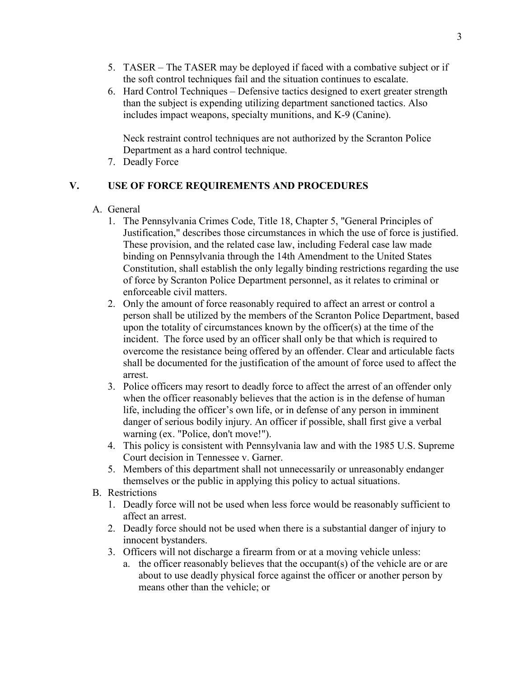- 5. TASER The TASER may be deployed if faced with a combative subject or if the soft control techniques fail and the situation continues to escalate.
- 6. Hard Control Techniques Defensive tactics designed to exert greater strength than the subject is expending utilizing department sanctioned tactics. Also includes impact weapons, specialty munitions, and K-9 (Canine).

Neck restraint control techniques are not authorized by the Scranton Police Department as a hard control technique.

7. Deadly Force

# **V. USE OF FORCE REQUIREMENTS AND PROCEDURES**

- A. General
	- 1. The Pennsylvania Crimes Code, Title 18, Chapter 5, "General Principles of Justification," describes those circumstances in which the use of force is justified. These provision, and the related case law, including Federal case law made binding on Pennsylvania through the 14th Amendment to the United States Constitution, shall establish the only legally binding restrictions regarding the use of force by Scranton Police Department personnel, as it relates to criminal or enforceable civil matters.
	- 2. Only the amount of force reasonably required to affect an arrest or control a person shall be utilized by the members of the Scranton Police Department, based upon the totality of circumstances known by the officer(s) at the time of the incident. The force used by an officer shall only be that which is required to overcome the resistance being offered by an offender. Clear and articulable facts shall be documented for the justification of the amount of force used to affect the arrest.
	- 3. Police officers may resort to deadly force to affect the arrest of an offender only when the officer reasonably believes that the action is in the defense of human life, including the officer's own life, or in defense of any person in imminent danger of serious bodily injury. An officer if possible, shall first give a verbal warning (ex. "Police, don't move!").
	- 4. This policy is consistent with Pennsylvania law and with the 1985 U.S. Supreme Court decision in Tennessee v. Garner.
	- 5. Members of this department shall not unnecessarily or unreasonably endanger themselves or the public in applying this policy to actual situations.
- B. Restrictions
	- 1. Deadly force will not be used when less force would be reasonably sufficient to affect an arrest.
	- 2. Deadly force should not be used when there is a substantial danger of injury to innocent bystanders.
	- 3. Officers will not discharge a firearm from or at a moving vehicle unless:
		- a. the officer reasonably believes that the occupant(s) of the vehicle are or are about to use deadly physical force against the officer or another person by means other than the vehicle; or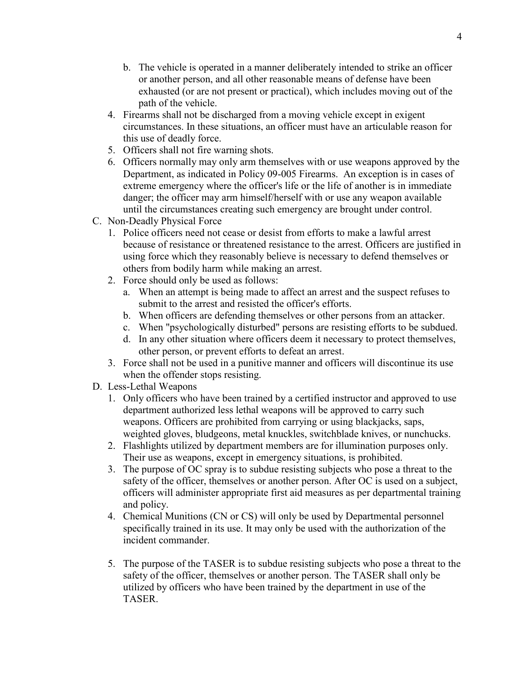- b. The vehicle is operated in a manner deliberately intended to strike an officer or another person, and all other reasonable means of defense have been exhausted (or are not present or practical), which includes moving out of the path of the vehicle.
- 4. Firearms shall not be discharged from a moving vehicle except in exigent circumstances. In these situations, an officer must have an articulable reason for this use of deadly force.
- 5. Officers shall not fire warning shots.
- 6. Officers normally may only arm themselves with or use weapons approved by the Department, as indicated in Policy 09-005 Firearms. An exception is in cases of extreme emergency where the officer's life or the life of another is in immediate danger; the officer may arm himself/herself with or use any weapon available until the circumstances creating such emergency are brought under control.
- C. Non-Deadly Physical Force
	- 1. Police officers need not cease or desist from efforts to make a lawful arrest because of resistance or threatened resistance to the arrest. Officers are justified in using force which they reasonably believe is necessary to defend themselves or others from bodily harm while making an arrest.
	- 2. Force should only be used as follows:
		- a. When an attempt is being made to affect an arrest and the suspect refuses to submit to the arrest and resisted the officer's efforts.
		- b. When officers are defending themselves or other persons from an attacker.
		- c. When "psychologically disturbed" persons are resisting efforts to be subdued.
		- d. In any other situation where officers deem it necessary to protect themselves, other person, or prevent efforts to defeat an arrest.
	- 3. Force shall not be used in a punitive manner and officers will discontinue its use when the offender stops resisting.
- D. Less-Lethal Weapons
	- 1. Only officers who have been trained by a certified instructor and approved to use department authorized less lethal weapons will be approved to carry such weapons. Officers are prohibited from carrying or using blackjacks, saps, weighted gloves, bludgeons, metal knuckles, switchblade knives, or nunchucks.
	- 2. Flashlights utilized by department members are for illumination purposes only. Their use as weapons, except in emergency situations, is prohibited.
	- 3. The purpose of OC spray is to subdue resisting subjects who pose a threat to the safety of the officer, themselves or another person. After OC is used on a subject, officers will administer appropriate first aid measures as per departmental training and policy.
	- 4. Chemical Munitions (CN or CS) will only be used by Departmental personnel specifically trained in its use. It may only be used with the authorization of the incident commander.
	- 5. The purpose of the TASER is to subdue resisting subjects who pose a threat to the safety of the officer, themselves or another person. The TASER shall only be utilized by officers who have been trained by the department in use of the TASER.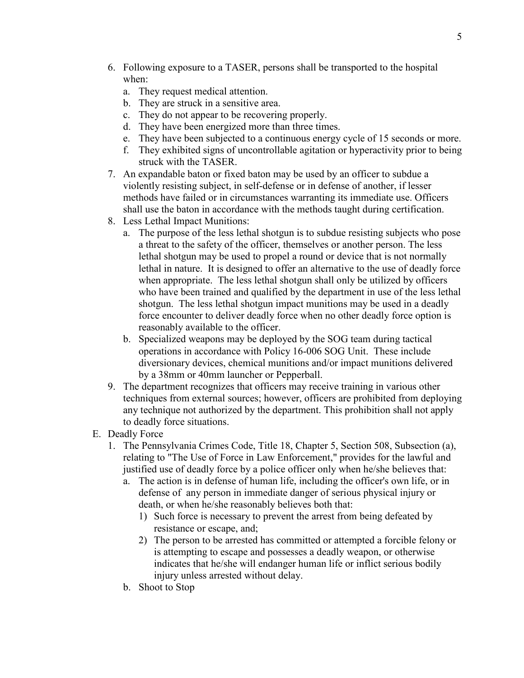- 6. Following exposure to a TASER, persons shall be transported to the hospital when:
	- a. They request medical attention.
	- b. They are struck in a sensitive area.
	- c. They do not appear to be recovering properly.
	- d. They have been energized more than three times.
	- e. They have been subjected to a continuous energy cycle of 15 seconds or more.
	- f. They exhibited signs of uncontrollable agitation or hyperactivity prior to being struck with the TASER.
- 7. An expandable baton or fixed baton may be used by an officer to subdue a violently resisting subject, in self-defense or in defense of another, if lesser methods have failed or in circumstances warranting its immediate use. Officers shall use the baton in accordance with the methods taught during certification.
- 8. Less Lethal Impact Munitions:
	- a. The purpose of the less lethal shotgun is to subdue resisting subjects who pose a threat to the safety of the officer, themselves or another person. The less lethal shotgun may be used to propel a round or device that is not normally lethal in nature. It is designed to offer an alternative to the use of deadly force when appropriate. The less lethal shotgun shall only be utilized by officers who have been trained and qualified by the department in use of the less lethal shotgun. The less lethal shotgun impact munitions may be used in a deadly force encounter to deliver deadly force when no other deadly force option is reasonably available to the officer.
	- b. Specialized weapons may be deployed by the SOG team during tactical operations in accordance with Policy 16-006 SOG Unit. These include diversionary devices, chemical munitions and/or impact munitions delivered by a 38mm or 40mm launcher or Pepperball.
- 9. The department recognizes that officers may receive training in various other techniques from external sources; however, officers are prohibited from deploying any technique not authorized by the department. This prohibition shall not apply to deadly force situations.
- E. Deadly Force
	- 1. The Pennsylvania Crimes Code, Title 18, Chapter 5, Section 508, Subsection (a), relating to "The Use of Force in Law Enforcement," provides for the lawful and justified use of deadly force by a police officer only when he/she believes that:
		- a. The action is in defense of human life, including the officer's own life, or in defense of any person in immediate danger of serious physical injury or death, or when he/she reasonably believes both that:
			- 1) Such force is necessary to prevent the arrest from being defeated by resistance or escape, and;
			- 2) The person to be arrested has committed or attempted a forcible felony or is attempting to escape and possesses a deadly weapon, or otherwise indicates that he/she will endanger human life or inflict serious bodily injury unless arrested without delay.
		- b. Shoot to Stop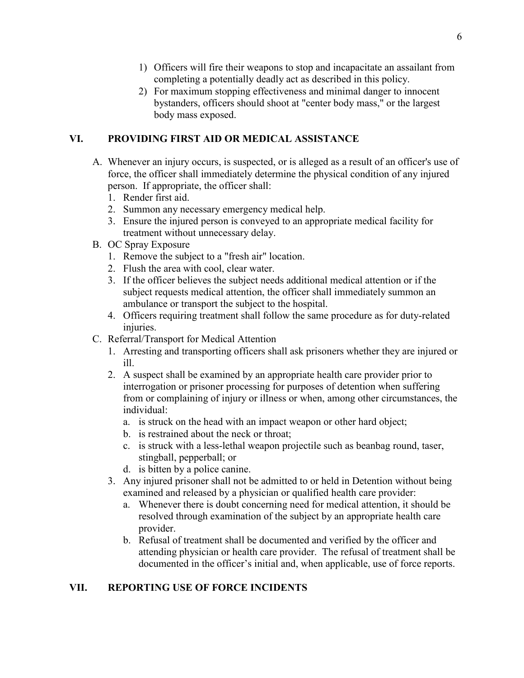- 1) Officers will fire their weapons to stop and incapacitate an assailant from completing a potentially deadly act as described in this policy.
- 2) For maximum stopping effectiveness and minimal danger to innocent bystanders, officers should shoot at "center body mass," or the largest body mass exposed.

## **VI. PROVIDING FIRST AID OR MEDICAL ASSISTANCE**

- A. Whenever an injury occurs, is suspected, or is alleged as a result of an officer's use of force, the officer shall immediately determine the physical condition of any injured person. If appropriate, the officer shall:
	- 1. Render first aid.
	- 2. Summon any necessary emergency medical help.
	- 3. Ensure the injured person is conveyed to an appropriate medical facility for treatment without unnecessary delay.
- B. OC Spray Exposure
	- 1. Remove the subject to a "fresh air" location.
	- 2. Flush the area with cool, clear water.
	- 3. If the officer believes the subject needs additional medical attention or if the subject requests medical attention, the officer shall immediately summon an ambulance or transport the subject to the hospital.
	- 4. Officers requiring treatment shall follow the same procedure as for duty-related injuries.
- C. Referral/Transport for Medical Attention
	- 1. Arresting and transporting officers shall ask prisoners whether they are injured or ill.
	- 2. A suspect shall be examined by an appropriate health care provider prior to interrogation or prisoner processing for purposes of detention when suffering from or complaining of injury or illness or when, among other circumstances, the individual:
		- a. is struck on the head with an impact weapon or other hard object;
		- b. is restrained about the neck or throat;
		- c. is struck with a less-lethal weapon projectile such as beanbag round, taser, stingball, pepperball; or
		- d. is bitten by a police canine.
	- 3. Any injured prisoner shall not be admitted to or held in Detention without being examined and released by a physician or qualified health care provider:
		- a. Whenever there is doubt concerning need for medical attention, it should be resolved through examination of the subject by an appropriate health care provider.
		- b. Refusal of treatment shall be documented and verified by the officer and attending physician or health care provider. The refusal of treatment shall be documented in the officer's initial and, when applicable, use of force reports.

# **VII. REPORTING USE OF FORCE INCIDENTS**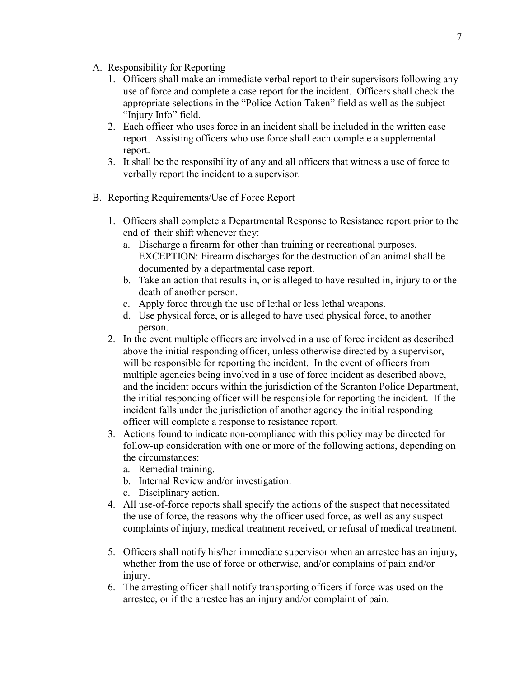- A. Responsibility for Reporting
	- 1. Officers shall make an immediate verbal report to their supervisors following any use of force and complete a case report for the incident. Officers shall check the appropriate selections in the "Police Action Taken" field as well as the subject "Injury Info" field.
	- 2. Each officer who uses force in an incident shall be included in the written case report. Assisting officers who use force shall each complete a supplemental report.
	- 3. It shall be the responsibility of any and all officers that witness a use of force to verbally report the incident to a supervisor.
- B. Reporting Requirements/Use of Force Report
	- 1. Officers shall complete a Departmental Response to Resistance report prior to the end of their shift whenever they:
		- a. Discharge a firearm for other than training or recreational purposes. EXCEPTION: Firearm discharges for the destruction of an animal shall be documented by a departmental case report.
		- b. Take an action that results in, or is alleged to have resulted in, injury to or the death of another person.
		- c. Apply force through the use of lethal or less lethal weapons.
		- d. Use physical force, or is alleged to have used physical force, to another person.
	- 2. In the event multiple officers are involved in a use of force incident as described above the initial responding officer, unless otherwise directed by a supervisor, will be responsible for reporting the incident. In the event of officers from multiple agencies being involved in a use of force incident as described above, and the incident occurs within the jurisdiction of the Scranton Police Department, the initial responding officer will be responsible for reporting the incident. If the incident falls under the jurisdiction of another agency the initial responding officer will complete a response to resistance report.
	- 3. Actions found to indicate non-compliance with this policy may be directed for follow-up consideration with one or more of the following actions, depending on the circumstances:
		- a. Remedial training.
		- b. Internal Review and/or investigation.
		- c. Disciplinary action.
	- 4. All use-of-force reports shall specify the actions of the suspect that necessitated the use of force, the reasons why the officer used force, as well as any suspect complaints of injury, medical treatment received, or refusal of medical treatment.
	- 5. Officers shall notify his/her immediate supervisor when an arrestee has an injury, whether from the use of force or otherwise, and/or complains of pain and/or injury.
	- 6. The arresting officer shall notify transporting officers if force was used on the arrestee, or if the arrestee has an injury and/or complaint of pain.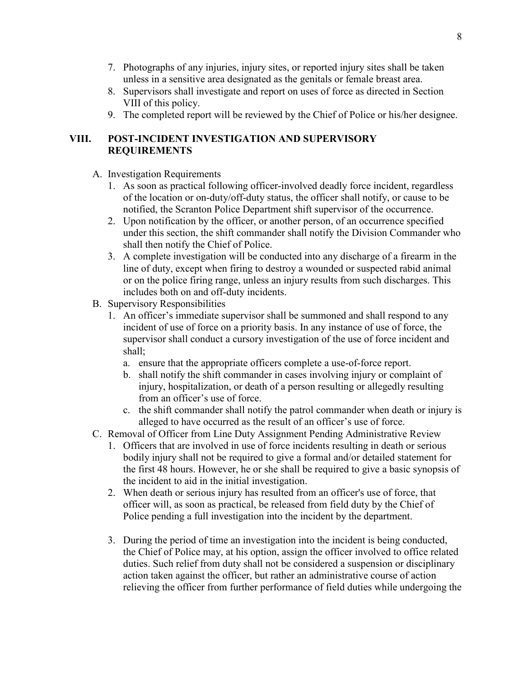- 7. Photographs of any injuries, injury sites, or reported injury sites shall be taken unless in a sensitive area designated as the genitals or female breast area.
- 8. Supervisors shall investigate and report on uses of force as directed in Section VIII of this policy.
- 9. The completed report will be reviewed by the Chief of Police or his/her designee.

## **VIII. POST-INCIDENT INVESTIGATION AND SUPERVISORY REQUIREMENTS**

- A. Investigation Requirements
	- 1. As soon as practical following officer-involved deadly force incident, regardless of the location or on-duty/off-duty status, the officer shall notify, or cause to be notified, the Scranton Police Department shift supervisor of the occurrence.
	- 2. Upon notification by the officer, or another person, of an occurrence specified under this section, the shift commander shall notify the Division Commander who shall then notify the Chief of Police.
	- 3. A complete investigation will be conducted into any discharge of a firearm in the line of duty, except when firing to destroy a wounded or suspected rabid animal or on the police firing range, unless an injury results from such discharges. This includes both on and off-duty incidents.
- B. Supervisory Responsibilities
	- 1. An officer's immediate supervisor shall be summoned and shall respond to any incident of use of force on a priority basis. In any instance of use of force, the supervisor shall conduct a cursory investigation of the use of force incident and shall;
		- a. ensure that the appropriate officers complete a use-of-force report.
		- b. shall notify the shift commander in cases involving injury or complaint of injury, hospitalization, or death of a person resulting or allegedly resulting from an officer's use of force.
		- c. the shift commander shall notify the patrol commander when death or injury is alleged to have occurred as the result of an officer's use of force.
- C. Removal of Officer from Line Duty Assignment Pending Administrative Review
	- 1. Officers that are involved in use of force incidents resulting in death or serious bodily injury shall not be required to give a formal and/or detailed statement for the first 48 hours. However, he or she shall be required to give a basic synopsis of the incident to aid in the initial investigation.
	- 2. When death or serious injury has resulted from an officer's use of force, that officer will, as soon as practical, be released from field duty by the Chief of Police pending a full investigation into the incident by the department.
	- 3. During the period of time an investigation into the incident is being conducted, the Chief of Police may, at his option, assign the officer involved to office related duties. Such relief from duty shall not be considered a suspension or disciplinary action taken against the officer, but rather an administrative course of action relieving the officer from further performance of field duties while undergoing the